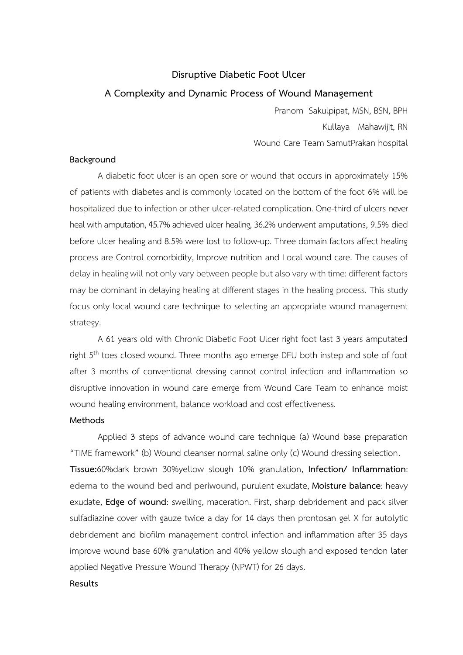# **Disruptive Diabetic Foot Ulcer A Complexity and Dynamic Process of Wound Management**

Pranom Sakulpipat, MSN, BSN, BPH Kullaya Mahawijit, RN Wound Care Team SamutPrakan hospital

#### **Background**

A diabetic foot ulcer is an open sore or wound that occurs in approximately 15% of patients with diabetes and is commonly located on the bottom of the foot 6% will be hospitalized due to infection or other ulcer-related complication. One-third of ulcers never heal with amputation,45.7% achieved ulcer healing, 36.2% underwent amputations, 9.5% died before ulcer healing and 8.5% were lost to follow-up. Three domain factors affect healing process are Control comorbidity, Improve nutrition and Local wound care. The causes of delay in healing will not only vary between people but also vary with time: different factors may be dominant in delaying healing at different stages in the healing process. This study focus only local wound care technique to selecting an appropriate wound management strategy.

A 61 years old with Chronic Diabetic Foot Ulcer right foot last 3 years amputated right 5<sup>th</sup> toes closed wound. Three months ago emerge DFU both instep and sole of foot after 3 months of conventional dressing cannot control infection and inflammation so disruptive innovation in wound care emerge from Wound Care Team to enhance moist wound healing environment, balance workload and cost effectiveness.

### **Methods**

Applied 3 steps of advance wound care technique (a) Wound base preparation "TIME framework" (b) Wound cleanser normal saline only (c) Wound dressing selection. **Tissue:**60%dark brown 30%yellow slough 10% granulation, **Infection/ Inflammation**: **edema to the wound bed and periwound,** purulent exudate, **Moisture balance**: heavy exudate, **Edge of wound**: swelling, maceration. First, sharp debridement and pack silver sulfadiazine cover with gauze twice a day for 14 days then prontosan gel X for autolytic debridement and biofilm management control infection and inflammation after 35 days improve wound base 60% granulation and 40% yellow slough and exposed tendon later applied Negative Pressure Wound Therapy (NPWT) for 26 days.

### **Results**